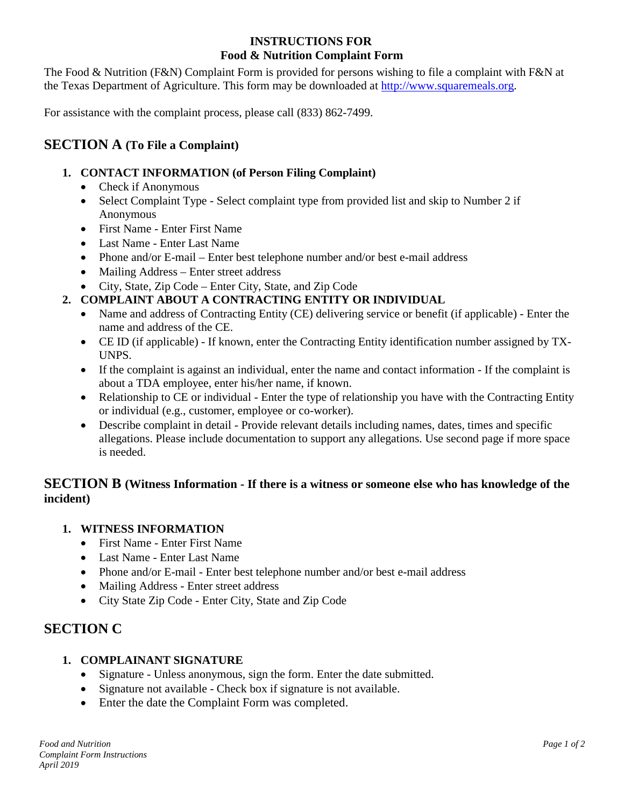### **INSTRUCTIONS FOR Food & Nutrition Complaint Form**

The Food & Nutrition (F&N) Complaint Form is provided for persons wishing to file a complaint with F&N at the Texas Department of Agriculture. This form may be downloaded at [http://www.squaremeals.org.](http://www.squaremeals.org/)

For assistance with the complaint process, please call (833) 862-7499.

### **SECTION A (To File a Complaint)**

### **1. CONTACT INFORMATION (of Person Filing Complaint)**

- Check if Anonymous
- Select Complaint Type Select complaint type from provided list and skip to Number 2 if Anonymous
- First Name Enter First Name
- Last Name Enter Last Name
- Phone and/or E-mail Enter best telephone number and/or best e-mail address
- Mailing Address Enter street address
- City, State, Zip Code Enter City, State, and Zip Code

### **2. COMPLAINT ABOUT A CONTRACTING ENTITY OR INDIVIDUAL**

- Name and address of Contracting Entity (CE) delivering service or benefit (if applicable) Enter the name and address of the CE.
- CE ID (if applicable) If known, enter the Contracting Entity identification number assigned by TX-UNPS.
- If the complaint is against an individual, enter the name and contact information If the complaint is about a TDA employee, enter his/her name, if known.
- Relationship to CE or individual Enter the type of relationship you have with the Contracting Entity or individual (e.g., customer, employee or co-worker).
- Describe complaint in detail Provide relevant details including names, dates, times and specific allegations. Please include documentation to support any allegations. Use second page if more space is needed.

### **SECTION B (Witness Information - If there is a witness or someone else who has knowledge of the incident)**

### **1. WITNESS INFORMATION**

- First Name Enter First Name
- Last Name Enter Last Name
- Phone and/or E-mail Enter best telephone number and/or best e-mail address
- Mailing Address Enter street address
- City State Zip Code Enter City, State and Zip Code

## **SECTION C**

### **1. COMPLAINANT SIGNATURE**

- Signature Unless anonymous, sign the form. Enter the date submitted.
- Signature not available Check box if signature is not available.
- Enter the date the Complaint Form was completed.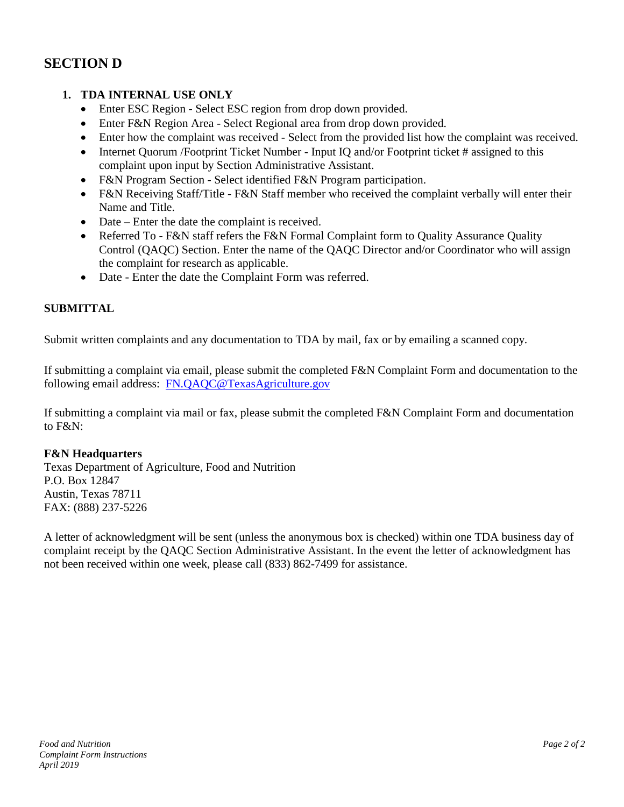# **SECTION D**

### **1. TDA INTERNAL USE ONLY**

- Enter ESC Region Select ESC region from drop down provided.
- Enter F&N Region Area Select Regional area from drop down provided.
- Enter how the complaint was received Select from the provided list how the complaint was received.
- Internet Quorum / Footprint Ticket Number Input IQ and/or Footprint ticket # assigned to this complaint upon input by Section Administrative Assistant.
- F&N Program Section Select identified F&N Program participation.
- F&N Receiving Staff/Title F&N Staff member who received the complaint verbally will enter their Name and Title.
- Date Enter the date the complaint is received.
- Referred To F&N staff refers the F&N Formal Complaint form to Quality Assurance Quality Control (QAQC) Section. Enter the name of the QAQC Director and/or Coordinator who will assign the complaint for research as applicable.
- Date Enter the date the Complaint Form was referred.

#### **SUBMITTAL**

Submit written complaints and any documentation to TDA by mail, fax or by emailing a scanned copy.

If submitting a complaint via email, please submit the completed F&N Complaint Form and documentation to the following email address: [FN.QAQC@TexasAgriculture.gov](mailto:FN.QAQC@TexasAgriculture.gov)

If submitting a complaint via mail or fax, please submit the completed F&N Complaint Form and documentation to F&N:

#### **F&N Headquarters**

Texas Department of Agriculture, Food and Nutrition P.O. Box 12847 Austin, Texas 78711 FAX: (888) 237-5226

A letter of acknowledgment will be sent (unless the anonymous box is checked) within one TDA business day of complaint receipt by the QAQC Section Administrative Assistant. In the event the letter of acknowledgment has not been received within one week, please call (833) 862-7499 for assistance.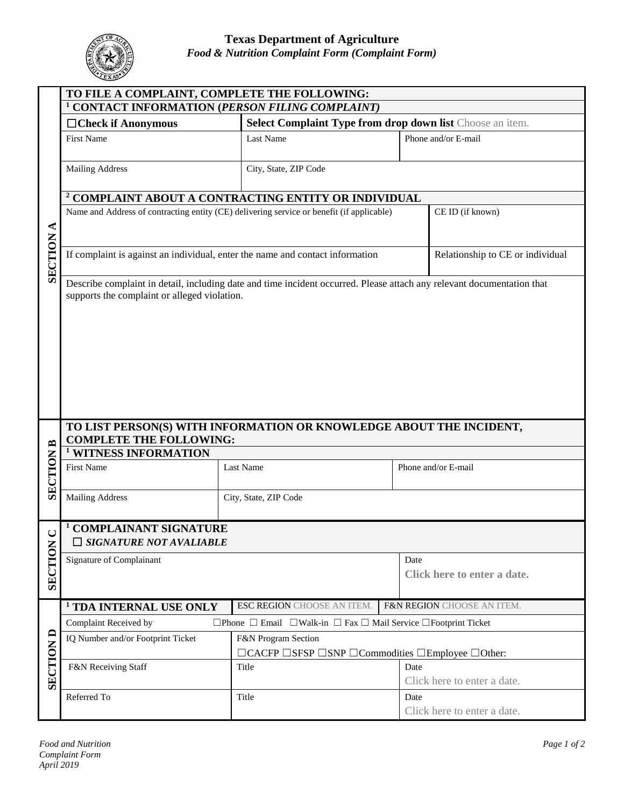|                  | TO FILE A COMPLAINT, COMPLETE THE FOLLOWING:                                                                             |                                                           |                                                                                      |  |  |
|------------------|--------------------------------------------------------------------------------------------------------------------------|-----------------------------------------------------------|--------------------------------------------------------------------------------------|--|--|
| ⋖<br>SECTION     | <sup>1</sup> CONTACT INFORMATION (PERSON FILING COMPLAINT)                                                               |                                                           |                                                                                      |  |  |
|                  | □ Check if Anonymous                                                                                                     | Select Complaint Type from drop down list Choose an item. |                                                                                      |  |  |
|                  | <b>First Name</b>                                                                                                        | Last Name                                                 | Phone and/or E-mail                                                                  |  |  |
|                  | <b>Mailing Address</b>                                                                                                   | City, State, ZIP Code                                     |                                                                                      |  |  |
|                  | <sup>2</sup> COMPLAINT ABOUT A CONTRACTING ENTITY OR INDIVIDUAL                                                          |                                                           |                                                                                      |  |  |
|                  | Name and Address of contracting entity (CE) delivering service or benefit (if applicable)<br>CE ID (if known)            |                                                           |                                                                                      |  |  |
|                  | If complaint is against an individual, enter the name and contact information                                            | Relationship to CE or individual                          |                                                                                      |  |  |
|                  | supports the complaint or alleged violation.                                                                             |                                                           |                                                                                      |  |  |
| <b>SECTION B</b> | TO LIST PERSON(S) WITH INFORMATION OR KNOWLEDGE ABOUT THE INCIDENT,<br><b>COMPLETE THE FOLLOWING:</b>                    |                                                           |                                                                                      |  |  |
|                  | <sup>1</sup> WITNESS INFORMATION                                                                                         |                                                           |                                                                                      |  |  |
|                  | <b>First Name</b>                                                                                                        | Last Name                                                 | Phone and/or E-mail                                                                  |  |  |
|                  | <b>Mailing Address</b>                                                                                                   | City, State, ZIP Code                                     |                                                                                      |  |  |
| ల                | <sup>1</sup> COMPLAINANT SIGNATURE<br>SIGNATURE NOT AVALIABLE                                                            |                                                           |                                                                                      |  |  |
| SECTION          | Signature of Complainant                                                                                                 |                                                           | Date<br>Click here to enter a date.                                                  |  |  |
|                  | <sup>1</sup> TDA INTERNAL USE ONLY                                                                                       | ESC REGION CHOOSE AN ITEM.                                | F&N REGION CHOOSE AN ITEM.                                                           |  |  |
| <b>SECTION D</b> | Complaint Received by<br>$\Box$ Phone $\Box$ Email $\Box$ Walk-in $\Box$ Fax $\Box$ Mail Service $\Box$ Footprint Ticket |                                                           |                                                                                      |  |  |
|                  | IQ Number and/or Footprint Ticket                                                                                        | F&N Program Section                                       | $\Box$ CACFP $\Box$ SFSP $\Box$ SNP $\Box$ Commodities $\Box$ Employee $\Box$ Other: |  |  |
|                  | F&N Receiving Staff                                                                                                      | Title                                                     | Date<br>Click here to enter a date.                                                  |  |  |
|                  | Referred To                                                                                                              | Title                                                     | Date<br>Click here to enter a date.                                                  |  |  |